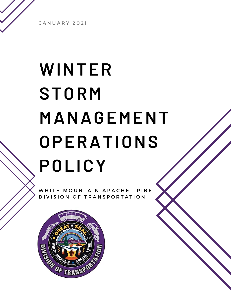**JANUARY 2021** 

# **WINTER STORM MANAGEMENT OPERATIONS POLICY**

WHITE MOUNTAIN APACHE TRIBE DIVISION OF TRANSPORTATION

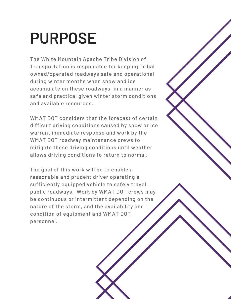### **PURPOSE**

The White Mountain Apache Tribe Division of Transportation is responsible for keeping Tribal owned/operated roadways safe and operational during winter months when snow and ice accumulate on these roadways, in a manner as safe and practical given winter storm conditions and available resources.

WMAT DOT considers that the forecast of certain difficult driving conditions caused by snow or ice warrant immediate response and work by the WMAT DOT roadway maintenance crews to mitigate these driving conditions until weather allows driving conditions to return to normal.

The goal of this work will be to enable a reasonable and prudent driver operating a sufficiently equipped vehicle to safely travel public roadways. Work by WMAT DOT crews may be continuous or intermittent depending on the nature of the storm, and the availability and condition of equipment and WMAT DOT personnel.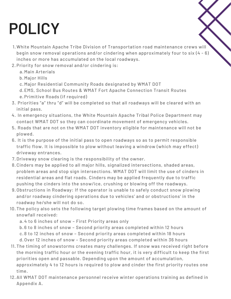## **POLICY**

- White Mountain Apache Tribe Division of Transportation road maintenance crews will 1. begin snow removal operations and/or cindering when approximately four to six (4 - 6) inches or more has accumulated on the local roadways.
- 2. Priority for snow removal and/or cindering is:
	- a. Main Arterials
	- b. Major Hills
	- c. Major Residential Community Roads designated by WMAT DOT
	- EMS, School Bus Routes & WMAT Fort Apache Connection Transit Routes d.
	- e. Primitive Roads (if required)
- 3. Priorities "a" thru "d" will be completed so that all roadways will be cleared with an initial pass.
- 4. In emergency situations, the White Mountain Apache Tribal Police Department may contact WMAT DOT so they can coordinate movement of emergency vehicles.
- 5. Roads that are not on the WMAT DOT inventory eligible for maintenance will not be plowed.
- 6. It is the purpose of the initial pass to open roadways so as to permit responsible traffic flow. It is impossible to plow without leaving a windrow (which may effect) driveway entrances.
- 7. Driveway snow clearing is the responsibility of the owner.
- 8. Cinders may be applied to all major hills, signalized intersections, shaded areas, problem areas and stop sign intersections. WMAT DOT will limit the use of cinders in residential areas and flat roads. Cinders may be applied frequently due to traffic pushing the cinders into the snow/ice, crushing or blowing off the roadways.
- 9.Obstructions in Roadway: If the operator is unable to safely conduct snow plowing and/or roadway cindering operations due to vehicles' and or obstructions' in the roadway he/she will not do so.
- 10. The policy also sets the following target plowing time frames based on the amount of snowfall received:

a. 4 to 6 inches of snow - First Priority areas only

b.6 to 8 inches of snow - Second priority areas completed within 12 hours

c.8 to 12 inches of snow - Second priority areas completed within 18 hours

d. Over 12 inches of snow - Second priority areas completed within 36 hours

- 11. The timing of snowstorms creates many challenges. If snow was received right before the morning traffic hour or the evening traffic hour, it is very difficult to keep the first priorities open and passable. Depending upon the amount of accumulation, approximately 4 to 12 hours is required to plow and cinder the first priority routes one time.
- 12. All WMAT DOT maintenance personnel receive winter operations training as defined in Appendix A.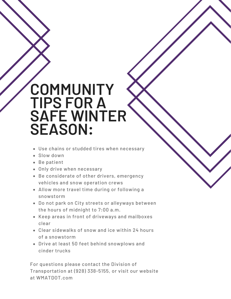### **COMMUNITY TIPS FOR A SAFE WINTER SEASON:**

- Use chains or studded tires when necessary
- Slow down
- Be patient
- Only drive when necessary
- Be considerate of other drivers, emergency vehicles and snow operation crews
- Allow more travel time during or following a snowstorm
- Do not park on City streets or alleyways between the hours of midnight to 7:00 a.m.
- Keep areas in front of driveways and mailboxes clear
- Clear sidewalks of snow and ice within 24 hours of a snowstorm
- Drive at least 50 feet behind snowplows and cinder trucks

For questions please contact the Division of Transportation at (928) 338-5155, or visit our website at WMATDOT.com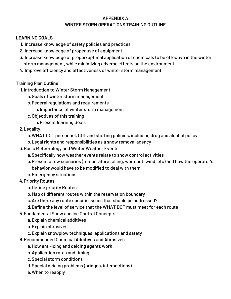#### **APPENDIX A WINTER STORM OPERATIONS TRAINING OUTLINE**

#### **LEARNING GOALS**

- 1. Increase knowledge of safety policies and practices
- 2. Increase knowledge of proper use of equipment
- Increase knowledge of proper/optimal application of chemicals to be effective in the winter 3. storm management, while minimizing adverse effects on the environment
- 4. Improve efficiency and effectiveness of winter storm management

#### **Training Plan Outline**

- 1. Introduction to Winter Storm Management
	- a. Goals of winter storm management
	- b. Federal regulations and requirements
		- i. Importance of winter storm management
	- c. Objectives of this training

i. Present learning Goals

#### 2. Legality

WMAT DOT personnel, CDL and staffing policies, including drug and alcohol policy a.

- Legal rights and responsibilities as a snow removal agency b.
- 3. Basic Meteorology and Winter Weather Events
	- a. Specifically how weather events relate to snow control activities
	- b. Present a few scenarios (temperature falling, whiteout, wind, etc) and how the operator's behavior would have to be modified to deal with them
	- c. Emergency situations
- 4. Priority Routes
	- a. Define priority Routes
	- b. Map of different routes within the reservation boundary
	- c. Are there any route specific issues that should be addressed?
	- d. Define the level of service that the WMAT DOT must meet for each route
- Fundamental Snow and Ice Control Concepts 5.
	- Explain chemical additives a.
	- Explain abrasives b.
	- Explain snowplow techniques, applications and safety c.
- 6. Recommended Chemical Additives and Abrasives
	- a. How anti-icing and deicing agents work
	- b. Application rates and timing
	- c. Special storm conditions
	- d. Special deicing problems (bridges, intersections)
	- When to reapply e.